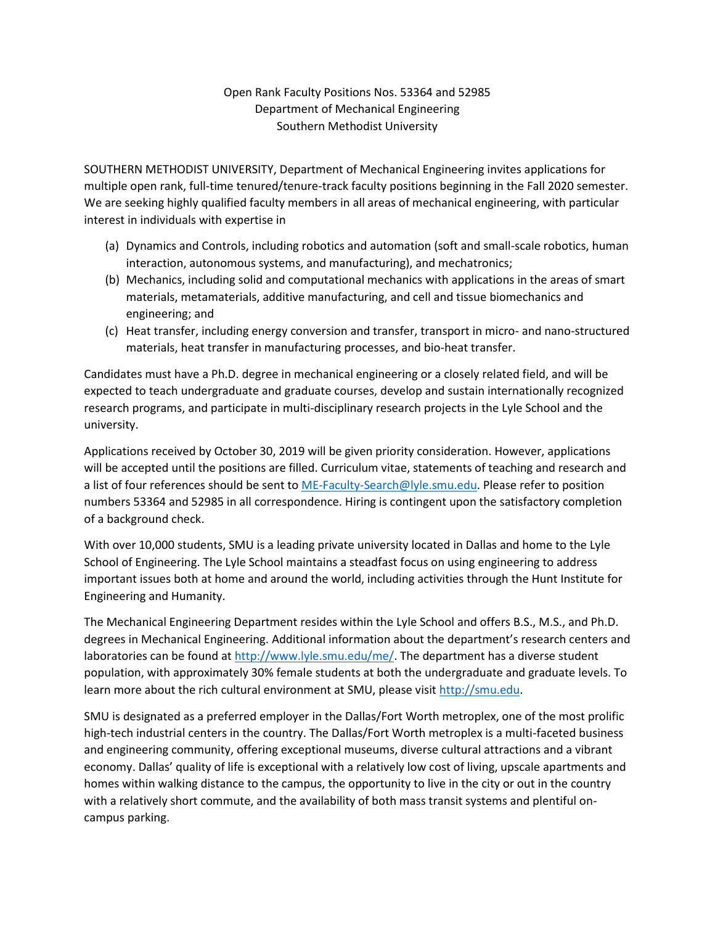## Open Rank Faculty Positions Nos. 53364 and 52985 Department of Mechanical Engineering Southern Methodist University

SOUTHERN METHODIST UNIVERSITY, Department of Mechanical Engineering invites applications for multiple open rank, full-time tenured/tenure-track faculty positions beginning in the Fall 2020 semester. We are seeking highly qualified faculty members in all areas of mechanical engineering, with particular interest in individuals with expertise in

- (a) Dynamics and Controls, including robotics and automation (soft and small-scale robotics, human interaction, autonomous systems, and manufacturing), and mechatronics;
- (b) Mechanics, including solid and computational mechanics with applications in the areas of smart materials, metamaterials, additive manufacturing, and cell and tissue biomechanics and engineering; and
- (c) Heat transfer, including energy conversion and transfer, transport in micro- and nano-structured materials, heat transfer in manufacturing processes, and bio-heat transfer.

Candidates must have a Ph.D. degree in mechanical engineering or a closely related field, and will be expected to teach undergraduate and graduate courses, develop and sustain internationally recognized research programs, and participate in multi-disciplinary research projects in the Lyle School and the university.

Applications received by October 30, 2019 will be given priority consideration. However, applications will be accepted until the positions are filled. Curriculum vitae, statements of teaching and research and a list of four references should be sent to [ME-Faculty-Search@lyle.smu.edu.](mailto:ME-Faculty-Search@lyle.smu.edu) Please refer to position numbers 53364 and 52985 in all correspondence. Hiring is contingent upon the satisfactory completion of a background check.

With over 10,000 students, SMU is a leading private university located in Dallas and home to the Lyle School of Engineering. The Lyle School maintains a steadfast focus on using engineering to address important issues both at home and around the world, including activities through the Hunt Institute for Engineering and Humanity.

The Mechanical Engineering Department resides within the Lyle School and offers B.S., M.S., and Ph.D. degrees in Mechanical Engineering. Additional information about the department's research centers and laboratories can be found at [http://www.lyle.smu.edu/me/.](http://www.lyle.smu.edu/me/) The department has a diverse student population, with approximately 30% female students at both the undergraduate and graduate levels. To learn more about the rich cultural environment at SMU, please visit [http://smu.edu.](http://smu.edu/)

SMU is designated as a preferred employer in the Dallas/Fort Worth metroplex, one of the most prolific high-tech industrial centers in the country. The Dallas/Fort Worth metroplex is a multi-faceted business and engineering community, offering exceptional museums, diverse cultural attractions and a vibrant economy. Dallas' quality of life is exceptional with a relatively low cost of living, upscale apartments and homes within walking distance to the campus, the opportunity to live in the city or out in the country with a relatively short commute, and the availability of both mass transit systems and plentiful oncampus parking.